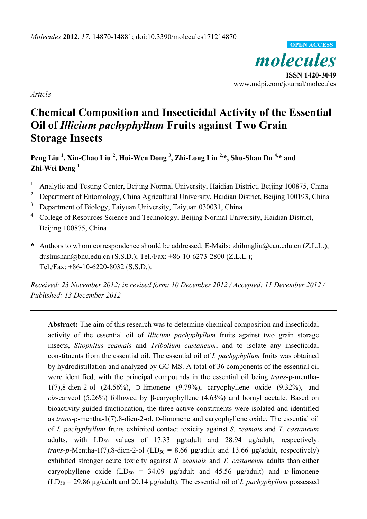*molecules*  **ISSN 1420-3049**  www.mdpi.com/journal/molecules **OPEN ACCESS**

*Article* 

# **Chemical Composition and Insecticidal Activity of the Essential Oil of** *Illicium pachyphyllum* **Fruits against Two Grain Storage Insects**

**Peng Liu <sup>1</sup> , Xin-Chao Liu <sup>2</sup> , Hui-Wen Dong <sup>3</sup> , Zhi-Long Liu 2,\*, Shu-Shan Du 4,\* and Zhi-Wei Deng 1** 

- 1 Analytic and Testing Center, Beijing Normal University, Haidian District, Beijing 100875, China
- 2 Department of Entomology, China Agricultural University, Haidian District, Beijing 100193, China
- 3 Department of Biology, Taiyuan University, Taiyuan 030031, China
- <sup>4</sup> College of Resources Science and Technology, Beijing Normal University, Haidian District, Beijing 100875, China
- **\*** Authors to whom correspondence should be addressed; E-Mails: zhilongliu@cau.edu.cn (Z.L.L.); dushushan@bnu.edu.cn (S.S.D.); Tel./Fax: +86-10-6273-2800 (Z.L.L.); Tel./Fax: +86-10-6220-8032 (S.S.D.).

*Received: 23 November 2012; in revised form: 10 December 2012 / Accepted: 11 December 2012 / Published: 13 December 2012* 

**Abstract:** The aim of this research was to determine chemical composition and insecticidal activity of the essential oil of *Illicium pachyphyllum* fruits against two grain storage insects, *Sitophilus zeamais* and *Tribolium castaneum*, and to isolate any insecticidal constituents from the essential oil. The essential oil of *I. pachyphyllum* fruits was obtained by hydrodistillation and analyzed by GC-MS. A total of 36 components of the essential oil were identified, with the principal compounds in the essential oil being *trans*-ρ-mentha-1(7),8-dien-2-ol (24.56%), D-limonene (9.79%), caryophyllene oxide (9.32%), and *cis*-carveol (5.26%) followed by β-caryophyllene (4.63%) and bornyl acetate. Based on bioactivity-guided fractionation, the three active constituents were isolated and identified as *trans*-ρ-mentha-1(7),8-dien-2-ol, D-limonene and caryophyllene oxide. The essential oil of *I. pachyphyllum* fruits exhibited contact toxicity against *S. zeamais* and *T. castaneum* adults, with  $LD_{50}$  values of 17.33 μg/adult and 28.94 μg/adult, respectively. *trans-p*-Mentha-1(7),8-dien-2-ol (LD<sub>50</sub> = 8.66 μg/adult and 13.66 μg/adult, respectively) exhibited stronger acute toxicity against *S. zeamais* and *T. castaneum* adults than either caryophyllene oxide  $(LD_{50} = 34.09 \text{ µg}/\text{adult}$  and  $45.56 \text{ µg}/\text{adult}$  and D-limonene  $(LD_{50} = 29.86 \text{ µg}/\text{adult}$  and 20.14  $\mu$ g/adult). The essential oil of *I. pachyphyllum* possessed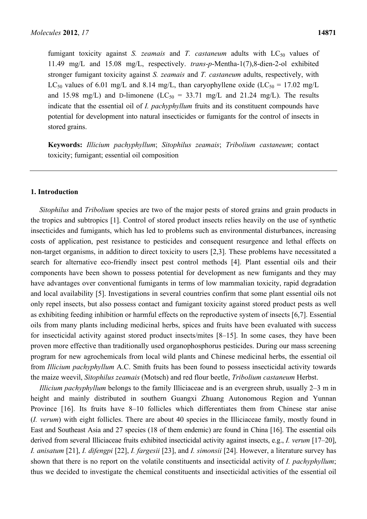fumigant toxicity against *S. zeamais* and *T. castaneum* adults with  $LC_{50}$  values of 11.49 mg/L and 15.08 mg/L, respectively. *trans*-*p*-Mentha-1(7),8-dien-2-ol exhibited stronger fumigant toxicity against *S. zeamais* and *T. castaneum* adults, respectively, with LC<sub>50</sub> values of 6.01 mg/L and 8.14 mg/L, than caryophyllene oxide (LC<sub>50</sub> = 17.02 mg/L and 15.98 mg/L) and D-limonene (LC<sub>50</sub> = 33.71 mg/L and 21.24 mg/L). The results indicate that the essential oil of *I. pachyphyllum* fruits and its constituent compounds have potential for development into natural insecticides or fumigants for the control of insects in stored grains.

**Keywords:** *Illicium pachyphyllum*; *Sitophilus zeamais*; *Tribolium castaneum*; contact toxicity; fumigant; essential oil composition

#### **1. Introduction**

*Sitophilus* and *Tribolium* species are two of the major pests of stored grains and grain products in the tropics and subtropics [1]. Control of stored product insects relies heavily on the use of synthetic insecticides and fumigants, which has led to problems such as environmental disturbances, increasing costs of application, pest resistance to pesticides and consequent resurgence and lethal effects on non-target organisms, in addition to direct toxicity to users [2,3]. These problems have necessitated a search for alternative eco-friendly insect pest control methods [4]. Plant essential oils and their components have been shown to possess potential for development as new fumigants and they may have advantages over conventional fumigants in terms of low mammalian toxicity, rapid degradation and local availability [5]. Investigations in several countries confirm that some plant essential oils not only repel insects, but also possess contact and fumigant toxicity against stored product pests as well as exhibiting feeding inhibition or harmful effects on the reproductive system of insects [6,7]. Essential oils from many plants including medicinal herbs, spices and fruits have been evaluated with success for insecticidal activity against stored product insects/mites [8–15]. In some cases, they have been proven more effective than traditionally used organophosphorus pesticides. During our mass screening program for new agrochemicals from local wild plants and Chinese medicinal herbs, the essential oil from *Illicium pachyphyllum* A.C. Smith fruits has been found to possess insecticidal activity towards the maize weevil, *Sitophilus zeamais* (Motsch) and red flour beetle, *Tribolium castaneum* Herbst.

*Illicium pachyphyllum* belongs to the family Illiciaceae and is an evergreen shrub, usually 2–3 m in height and mainly distributed in southern Guangxi Zhuang Autonomous Region and Yunnan Province [16]. Its fruits have 8–10 follicles which differentiates them from Chinese star anise (*I. verum*) with eight follicles. There are about 40 species in the Illiciaceae family, mostly found in East and Southeast Asia and 27 species (18 of them endemic) are found in China [16]. The essential oils derived from several Illiciaceae fruits exhibited insecticidal activity against insects, e.g., *I. verum* [17–20], *I. anisatum* [21], *I. difengpi* [22], *I. fargesii* [23], and *I. simonsii* [24]. However, a literature survey has shown that there is no report on the volatile constituents and insecticidal activity of *I. pachyphyllum*; thus we decided to investigate the chemical constituents and insecticidal activities of the essential oil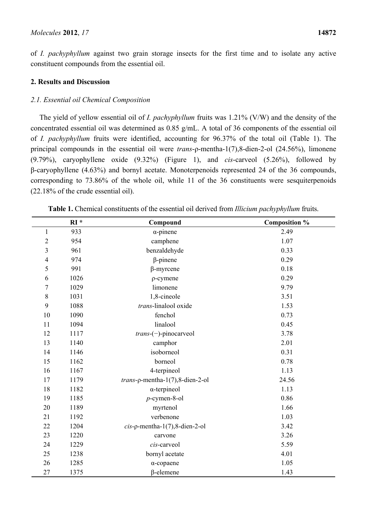of *I. pachyphyllum* against two grain storage insects for the first time and to isolate any active constituent compounds from the essential oil.

# **2. Results and Discussion**

# *2.1. Essential oil Chemical Composition*

The yield of yellow essential oil of *I. pachyphyllum* fruits was 1.21% (V/W) and the density of the concentrated essential oil was determined as 0.85 g/mL. A total of 36 components of the essential oil of *I. pachyphyllum* fruits were identified, accounting for 96.37% of the total oil (Table 1). The principal compounds in the essential oil were *trans*-ρ-mentha-1(7),8-dien-2-ol (24.56%), limonene (9.79%), caryophyllene oxide (9.32%) (Figure 1), and *cis*-carveol (5.26%), followed by β-caryophyllene (4.63%) and bornyl acetate. Monoterpenoids represented 24 of the 36 compounds, corresponding to 73.86% of the whole oil, while 11 of the 36 constituents were sesquiterpenoids (22.18% of the crude essential oil).

|                | $RI*$ | Compound                                  | Composition % |
|----------------|-------|-------------------------------------------|---------------|
| $\mathbf{1}$   | 933   | $\alpha$ -pinene                          | 2.49          |
| $\overline{2}$ | 954   | camphene                                  | 1.07          |
| 3              | 961   | benzaldehyde                              | 0.33          |
| $\overline{4}$ | 974   | $\beta$ -pinene                           | 0.29          |
| 5              | 991   | $\beta$ -myrcene                          | 0.18          |
| 6              | 1026  | $\rho$ -cymene                            | 0.29          |
| $\overline{7}$ | 1029  | limonene                                  | 9.79          |
| $\,8\,$        | 1031  | 1,8-cineole                               | 3.51          |
| 9              | 1088  | trans-linalool oxide                      | 1.53          |
| 10             | 1090  | fenchol                                   | 0.73          |
| 11             | 1094  | linalool                                  | 0.45          |
| 12             | 1117  | $trans(-)$ -pinocarveol                   | 3.78          |
| 13             | 1140  | camphor                                   | 2.01          |
| 14             | 1146  | isoborneol                                | 0.31          |
| 15             | 1162  | borneol                                   | 0.78          |
| 16             | 1167  | 4-terpineol                               | 1.13          |
| 17             | 1179  | $trans$ - $\rho$ -mentha-1(7),8-dien-2-ol | 24.56         |
| 18             | 1182  | $\alpha$ -terpineol                       | 1.13          |
| 19             | 1185  | $p$ -cymen-8-ol                           | 0.86          |
| 20             | 1189  | myrtenol                                  | 1.66          |
| 21             | 1192  | verbenone                                 | 1.03          |
| 22             | 1204  | $cis$ - $\rho$ -mentha-1(7),8-dien-2-ol   | 3.42          |
| 23             | 1220  | carvone                                   | 3.26          |
| 24             | 1229  | cis-carveol                               | 5.59          |
| 25             | 1238  | bornyl acetate                            | 4.01          |
| 26             | 1285  | $\alpha$ -copaene                         | 1.05          |
| 27             | 1375  | β-elemene                                 | 1.43          |

**Table 1.** Chemical constituents of the essential oil derived from *Illicium pachyphyllum* fruits.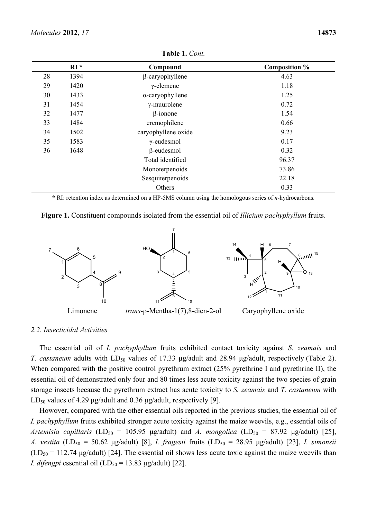|    | $RI*$ | Compound                | <b>Composition %</b> |
|----|-------|-------------------------|----------------------|
| 28 | 1394  | β-caryophyllene         | 4.63                 |
| 29 | 1420  | $\gamma$ -elemene       | 1.18                 |
| 30 | 1433  | $\alpha$ -caryophyllene | 1.25                 |
| 31 | 1454  | $\gamma$ -muurolene     | 0.72                 |
| 32 | 1477  | $\beta$ -ionone         | 1.54                 |
| 33 | 1484  | eremophilene            | 0.66                 |
| 34 | 1502  | caryophyllene oxide     | 9.23                 |
| 35 | 1583  | $\gamma$ -eudesmol      | 0.17                 |
| 36 | 1648  | $\beta$ -eudesmol       | 0.32                 |
|    |       | Total identified        | 96.37                |
|    |       | Monoterpenoids          | 73.86                |
|    |       | Sesquiterpenoids        | 22.18                |
|    |       | Others                  | 0.33                 |

**Table 1.** *Cont.* 

**\*** RI: retention index as determined on a HP-5MS column using the homologous series of *n*-hydrocarbons.

|  |  |  |  | Figure 1. Constituent compounds isolated from the essential oil of <i>Illicium pachyphyllum</i> fruits. |
|--|--|--|--|---------------------------------------------------------------------------------------------------------|
|--|--|--|--|---------------------------------------------------------------------------------------------------------|



#### *2.2. Insecticidal Activities*

The essential oil of *I. pachyphyllum* fruits exhibited contact toxicity against *S. zeamais* and *T. castaneum* adults with LD<sub>50</sub> values of 17.33 μg/adult and 28.94 μg/adult, respectively (Table 2). When compared with the positive control pyrethrum extract (25% pyrethrine I and pyrethrine II), the essential oil of demonstrated only four and 80 times less acute toxicity against the two species of grain storage insects because the pyrethrum extract has acute toxicity to *S. zeamais* and *T. castaneum* with LD<sub>50</sub> values of 4.29 μg/adult and 0.36 μg/adult, respectively [9].

Howover, compared with the other essential oils reported in the previous studies, the essential oil of *I. pachyphyllum* fruits exhibited stronger acute toxicity against the maize weevils, e.g., essential oils of *Artemisia capillaris* (LD<sub>50</sub> = 105.95 μg/adult) and *A. mongolica* (LD<sub>50</sub> = 87.92 μg/adult) [25], *A. vestita* (LD<sub>50</sub> = 50.62 μg/adult) [8], *I. fragesii* fruits (LD<sub>50</sub> = 28.95 μg/adult) [23], *I. simonsii*  $(LD_{50} = 112.74 \text{ µg/adult})$  [24]. The essential oil shows less acute toxic against the maize weevils than *I. difengpi* essential oil  $(LD_{50} = 13.83 \text{ µg}/\text{adult})$  [22].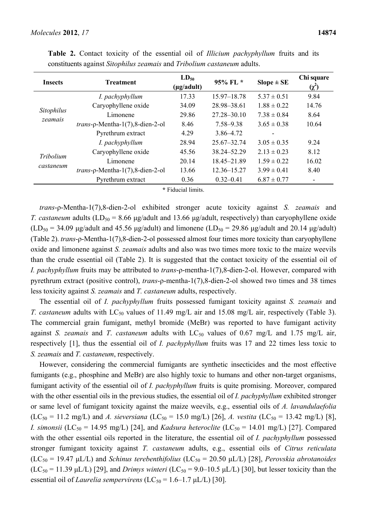| <b>Insects</b> | <b>Treatment</b>                   | $LD_{50}$<br>$(\mu g / \text{adult})$ | $95\%$ FL $*$   | $Slope \pm SE$  | Chi square<br>$(\chi^2)$ |
|----------------|------------------------------------|---------------------------------------|-----------------|-----------------|--------------------------|
|                | I. pachyphyllum                    | 17.33                                 | 15.97–18.78     | $5.37 \pm 0.51$ | 9.84                     |
|                | Caryophyllene oxide                | 34.09                                 | 28.98–38.61     | $1.88 \pm 0.22$ | 14.76                    |
| Sitophilus     | Limonene                           | 29.86                                 | $27.28 - 30.10$ | $7.38 \pm 0.84$ | 8.64                     |
| zeamais        | $trans-p-Mentha-1(7), 8-dien-2-ol$ | 8.46                                  | $7.58 - 9.38$   | $3.65 \pm 0.38$ | 10.64                    |
|                | Pyrethrum extract                  | 4.29                                  | $3.86 - 4.72$   | ۰               |                          |
|                | I. pachyphyllum                    | 28.94                                 | $25.67 - 32.74$ | $3.05 \pm 0.35$ | 9.24                     |
|                | Caryophyllene oxide                | 45.56                                 | 38.24 - 52.29   | $213 \pm 0.23$  | 8.12                     |
| Tribolium      | Limonene                           | 20.14                                 | 18.45–21.89     | $1.59 \pm 0.22$ | 16.02                    |
| castaneum      | $trans-p-Mentha-1(7), 8-dien-2-ol$ | 13.66                                 | $12.36 - 15.27$ | $3.99 \pm 0.41$ | 8.40                     |
|                | Pyrethrum extract                  | 0.36                                  | $0.32 - 0.41$   | $6.87 \pm 0.77$ |                          |

**Table 2.** Contact toxicity of the essential oil of *Illicium pachyphyllum* fruits and its constituents against *Sitophilus zeamais* and *Tribolium castaneum* adults.

**\*** Fiducial limits.

*trans*-ρ-Mentha-1(7),8-dien-2-ol exhibited stronger acute toxicity against *S. zeamais* and *T. castaneum* adults ( $LD_{50} = 8.66 \text{ µg}/\text{adult}$  and 13.66  $\mu$ g/adult, respectively) than caryophyllene oxide  $(LD_{50} = 34.09 \text{ µg}/\text{adult}$  and 45.56  $\mu$ g/adult) and limonene  $(LD_{50} = 29.86 \text{ µg}/\text{adult}$  and 20.14  $\mu$ g/adult) (Table 2). *trans*-ρ-Mentha-1(7),8-dien-2-ol possessed almost four times more toxicity than caryophyllene oxide and limonene against *S. zeamais* adults and also was two times more toxic to the maize weevils than the crude essential oil (Table 2). It is suggested that the contact toxicity of the essential oil of *I. pachyphyllum* fruits may be attributed to *trans*-ρ-mentha-1(7),8-dien-2-ol. However, compared with pyrethrum extract (positive control), *trans*-ρ-mentha-1(7),8-dien-2-ol showed two times and 38 times less toxicity against *S. zeamais* and *T. castaneum* adults, respectively.

The essential oil of *I. pachyphyllum* fruits possessed fumigant toxicity against *S. zeamais* and *T. castaneum* adults with LC<sub>50</sub> values of 11.49 mg/L air and 15.08 mg/L air, respectively (Table 3). The commercial grain fumigant, methyl bromide (MeBr) was reported to have fumigant activity against *S. zeamais* and *T. castaneum* adults with  $LC_{50}$  values of 0.67 mg/L and 1.75 mg/L air, respectively [1], thus the essential oil of *I. pachyphyllum* fruits was 17 and 22 times less toxic to *S. zeamais* and *T. castaneum*, respectively.

However, considering the commercial fumigants are synthetic insecticides and the most effective fumigants (e.g., phosphine and MeBr) are also highly toxic to humans and other non-target organisms, fumigant activity of the essential oil of *I. pachyphyllum* fruits is quite promising. Moreover, compared with the other essential oils in the previous studies, the essential oil of *I. pachyphyllum* exhibited stronger or same level of fumigant toxicity against the maize weevils, e.g., essential oils of *A. lavandulaefolia*  $(LC_{50} = 11.2 \text{ mg/L})$  and *A. sieversiana*  $(LC_{50} = 15.0 \text{ mg/L})$  [26], *A. vestita*  $(LC_{50} = 13.42 \text{ mg/L})$  [8], *I. simonsii* (LC<sub>50</sub> = 14.95 mg/L) [24], and *Kadsura heteroclite* (LC<sub>50</sub> = 14.01 mg/L) [27]. Compared with the other essential oils reported in the literature, the essential oil of *I. pachyphyllum* possessed stronger fumigant toxicity against *T. castaneum* adults, e.g., essential oils of *Citrus reticulata* (LC50 = 19.47 μL/L) and *Schinus terebenthifolius* (LC50 = 20.50 μL/L) [28], *Perovskia abrotanoides*  $(LC_{50} = 11.39 \mu L/L)$  [29], and *Drimys winteri*  $(LC_{50} = 9.0-10.5 \mu L/L)$  [30], but lesser toxicity than the essential oil of *Laurelia sempervirens* (LC<sub>50</sub> = 1.6–1.7  $\mu$ L/L) [30].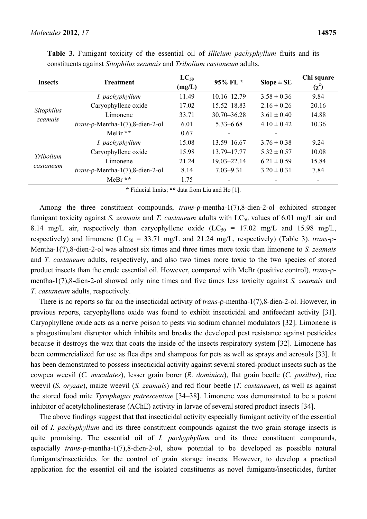| <b>Insects</b> | <b>Treatment</b>                   | $LC_{50}$<br>(mg/L) | 95% FL *        | $Slope \pm SE$  | Chi square<br>$(\chi^2)$ |
|----------------|------------------------------------|---------------------|-----------------|-----------------|--------------------------|
|                | I. pachyphyllum                    | 11.49               | $10.16 - 12.79$ | $3.58 \pm 0.36$ | 9.84                     |
|                | Caryophyllene oxide                | 17.02               | $15.52 - 18.83$ | $2.16 \pm 0.26$ | 20.16                    |
| Sitophilus     | Limonene                           | 33.71               | $30.70 - 36.28$ | $3.61 \pm 0.40$ | 14.88                    |
| zeamais        | $trans-p-Mentha-1(7), 8-dien-2-ol$ | 6.01                | $5.33 - 6.68$   | $4.10 \pm 0.42$ | 10.36                    |
|                | $MeBr$ **                          | 0.67                |                 |                 |                          |
|                | I. pachyphyllum                    | 15.08               | 13.59–16.67     | $3.76 \pm 0.38$ | 9.24                     |
|                | Caryophyllene oxide                | 15.98               | 13.79-17.77     | $5.32 \pm 0.57$ | 10.08                    |
| Tribolium      | Limonene                           | 21.24               | $19.03 - 22.14$ | $6.21 \pm 0.59$ | 15.84                    |
| castaneum      | $trans-p-Mentha-1(7), 8-dien-2-ol$ | 8.14                | $7.03 - 9.31$   | $3.20 \pm 0.31$ | 7.84                     |
|                | $MeBr$ **                          | 1.75                | ۰               |                 | ۰                        |

**Table 3.** Fumigant toxicity of the essential oil of *Illicium pachyphyllum* fruits and its constituents against *Sitophilus zeamais* and *Tribolium castaneum* adults.

**\*** Fiducial limits; **\*\*** data from Liu and Ho [1].

Among the three constituent compounds, *trans-* $\rho$ -mentha-1(7),8-dien-2-ol exhibited stronger fumigant toxicity against *S. zeamais* and *T. castaneum* adults with LC<sub>50</sub> values of 6.01 mg/L air and 8.14 mg/L air, respectively than caryophyllene oxide  $(LC_{50} = 17.02 \text{ mg/L}$  and 15.98 mg/L, respectively) and limonene ( $LC_{50} = 33.71$  mg/L and 21.24 mg/L, respectively) (Table 3). *trans-* $\rho$ -Mentha-1(7),8-dien-2-ol was almost six times and three times more toxic than limonene to *S. zeamais* and *T. castaneum* adults, respectively, and also two times more toxic to the two species of stored product insects than the crude essential oil. However, compared with MeBr (positive control), *trans*-ρmentha-1(7),8-dien-2-ol showed only nine times and five times less toxicity against *S. zeamais* and *T. castaneum* adults, respectively.

There is no reports so far on the insecticidal activity of *trans*-ρ-mentha-1(7),8-dien-2-ol. However, in previous reports, caryophyllene oxide was found to exhibit insecticidal and antifeedant activity [31]. Caryophyllene oxide acts as a nerve poison to pests via sodium channel modulators [32]. Limonene is a phagostimulant disruptor which inhibits and breaks the developed pest resistance against pesticides because it destroys the wax that coats the inside of the insects respiratory system [32]. Limonene has been commercialized for use as flea dips and shampoos for pets as well as sprays and aerosols [33]. It has been demonstrated to possess insecticidal activity against several stored-product insects such as the cowpea weevil (*C. maculates*), lesser grain borer (*R. dominica*), flat grain beetle (*C. pusillus*), rice weevil (*S. oryzae*), maize weevil (*S. zeamais*) and red flour beetle (*T. castaneum*), as well as against the stored food mite *Tyrophagus putrescentiae* [34–38]. Limonene was demonstrated to be a potent inhibitor of acetylcholinesterase (AChE) activity in larvae of several stored product insects [34].

The above findings suggest that that insecticidal activity especially fumigant activity of the essential oil of *I. pachyphyllum* and its three constituent compounds against the two grain storage insects is quite promising. The essential oil of *I. pachyphyllum* and its three constituent compounds, especially *trans*-ρ-mentha-1(7),8-dien-2-ol, show potential to be developed as possible natural fumigants/insecticides for the control of grain storage insects. However, to develop a practical application for the essential oil and the isolated constituents as novel fumigants/insecticides, further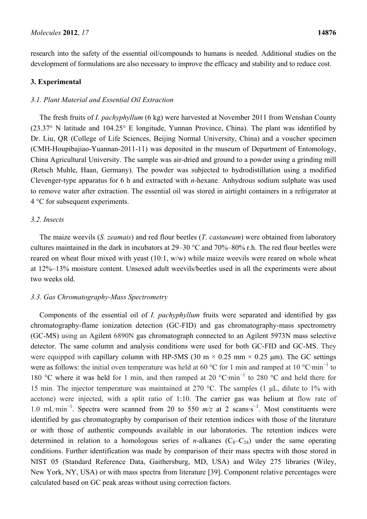research into the safety of the essential oil/compounds to humans is needed. Additional studies on the development of formulations are also necessary to improve the efficacy and stability and to reduce cost.

## **3. Experimental**

## *3.1. Plant Material and Essential Oil Extraction*

The fresh fruits of *I. pachyphyllum* (6 kg) were harvested at November 2011 from Wenshan County (23.37° N latitude and 104.25° E longitude, Yunnan Province, China). The plant was identified by Dr. Liu, QR (College of Life Sciences, Beijing Normal University, China) and a voucher specimen (CMH-Houpibajiao-Yuannan-2011-11) was deposited in the museum of Department of Entomology, China Agricultural University. The sample was air-dried and ground to a powder using a grinding mill (Retsch Muhle, Haan, Germany). The powder was subjected to hydrodistillation using a modified Clevenger-type apparatus for 6 h and extracted with *n*-hexane. Anhydrous sodium sulphate was used to remove water after extraction. The essential oil was stored in airtight containers in a refrigerator at 4 °C for subsequent experiments.

### *3.2. Insects*

The maize weevils (*S. zeamais*) and red flour beetles (*T. castaneum*) were obtained from laboratory cultures maintained in the dark in incubators at 29–30 °C and 70%–80% r.h. The red flour beetles were reared on wheat flour mixed with yeast (10:1, w/w) while maize weevils were reared on whole wheat at 12%–13% moisture content. Unsexed adult weevils/beetles used in all the experiments were about two weeks old.

### *3.3. Gas Chromatography-Mass Spectrometry*

Components of the essential oil of *I. pachyphyllum* fruits were separated and identified by gas chromatography-flame ionization detection (GC-FID) and gas chromatography-mass spectrometry (GC-MS) using an Agilent 6890N gas chromatograph connected to an Agilent 5973N mass selective detector. The same column and analysis conditions were used for both GC-FID and GC-MS. They were equipped with capillary column with HP-5MS (30 m  $\times$  0.25 mm  $\times$  0.25 µm). The GC settings were as follows: the initial oven temperature was held at 60 °C for 1 min and ramped at 10 °C·min<sup>-1</sup> to 180 °C where it was held for 1 min, and then ramped at 20 °C·min<sup>−</sup><sup>1</sup> to 280 °C and held there for 15 min. The injector temperature was maintained at 270 °C. The samples (1 μL, dilute to 1% with acetone) were injected, with a split ratio of 1:10. The carrier gas was helium at flow rate of 1.0 mL·min<sup>-1</sup>. Spectra were scanned from 20 to 550 m/z at 2 scans·s<sup>-1</sup>. Most constituents were identified by gas chromatography by comparison of their retention indices with those of the literature or with those of authentic compounds available in our laboratories. The retention indices were determined in relation to a homologous series of *n*-alkanes  $(C_8-C_{24})$  under the same operating conditions. Further identification was made by comparison of their mass spectra with those stored in NIST 05 (Standard Reference Data, Gaithersburg, MD, USA) and Wiley 275 libraries (Wiley, New York, NY, USA) or with mass spectra from literature [39]. Component relative percentages were calculated based on GC peak areas without using correction factors.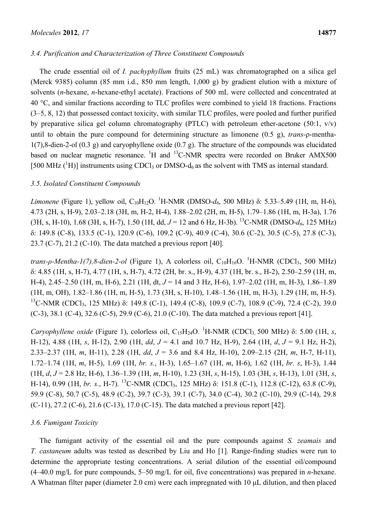# *3.4. Purification and Characterization of Three Constituent Compounds*

The crude essential oil of *I. pachyphyllum* fruits (25 mL) was chromatographed on a silica gel (Merck 9385) column (85 mm i.d., 850 mm length, 1,000 g) by gradient elution with a mixture of solvents (*n*-hexane, *n*-hexane-ethyl acetate). Fractions of 500 mL were collected and concentrated at 40 °C, and similar fractions according to TLC profiles were combined to yield 18 fractions. Fractions (3–5, 8, 12) that possessed contact toxicity, with similar TLC profiles, were pooled and further purified by preparative silica gel column chromatography (PTLC) with petroleum ether-acetone (50:1,  $v/v$ ) until to obtain the pure compound for determining structure as limonene (0.5 g), *trans-*ρ-mentha-1(7),8-dien-2-ol (0.3 g) and caryophyllene oxide (0.7 g). The structure of the compounds was elucidated based on nuclear magnetic resonance. <sup>1</sup>H and <sup>13</sup>C-NMR spectra were recorded on Bruker AMX500 [500 MHz  $({}^{1}H)$ ] instruments using CDCl<sub>3</sub> or DMSO-d<sub>6</sub> as the solvent with TMS as internal standard.

## *3.5. Isolated Constituent Compounds*

*Limonene* (Figure 1), yellow oil, C<sub>10</sub>H<sub>12</sub>O. <sup>1</sup>H-NMR (DMSO-d<sub>6</sub>, 500 MHz) δ: 5.33–5.49 (1H, m, H-6), 4.73 (2H, s, H-9), 2.03–2.18 (3H, m, H-2, H-4), 1.88–2.02 (2H, m, H-5), 1.79–1.86 (1H, m, H-3a), 1.76  $(3H, s, H-10)$ , 1.68  $(3H, s, H-7)$ , 1.50  $(1H, dd, J = 12 \text{ and } 6 Hz, H-3b)$ . <sup>13</sup>C-NMR (DMSO- $d_6$ , 125 MHz) δ: 149.8 (C-8), 133.5 (C-1), 120.9 (C-6), 109.2 (C-9), 40.9 (C-4), 30.6 (C-2), 30.5 (C-5), 27.8 (C-3), 23.7 (C-7), 21.2 (C-10). The data matched a previous report [40].

*trans-ρ-Mentha-1(7),8-dien-2-ol* (Figure 1), A colorless oil, C<sub>10</sub>H<sub>16</sub>O. <sup>1</sup>H-NMR (CDCl<sub>3</sub>, 500 MHz) δ: 4.85 (1H, s, H-7), 4.77 (1H, s, H-7), 4.72 (2H, br. s., H-9), 4.37 (1H, br. s., H-2), 2.50–2.59 (1H, m, H-4), 2.45–2.50 (1H, m, H-6), 2.21 (1H, dt, *J* = 14 and 3 Hz, H-6), 1.97–2.02 (1H, m, H-3), 1.86–1.89 (1H, m, OH), 1.82–1.86 (1H, m, H-5), 1.73 (3H, s, H-10), 1.48–1.56 (1H, m, H-3), 1.29 (1H, m, H-5). <sup>13</sup>C-NMR (CDCl<sub>3</sub>, 125 MHz) δ: 149.8 (C-1), 149.4 (C-8), 109.9 (C-7), 108.9 (C-9), 72.4 (C-2), 39.0  $(C-3)$ , 38.1  $(C-4)$ , 32.6  $(C-5)$ , 29.9  $(C-6)$ , 21.0  $(C-10)$ . The data matched a previous report [41].

*Caryophyllene oxide* (Figure 1), colorless oil,  $C_{15}H_{24}O$ . <sup>1</sup>H-NMR (CDCl<sub>3,</sub> 500 MHz) δ: 5.00 (1H, *s*, H-12), 4.88 (1H, *s*, H-12), 2.90 (1H, *dd*, *J* = 4.1 and 10.7 Hz, H-9), 2.64 (1H, *d*, *J* = 9.1 Hz, H-2), 2.33–2.37 (1H, *m*, H-11), 2.28 (1H, *dd*, *J* = 3.6 and 8.4 Hz, H-10), 2.09–2.15 (2H, *m*, H-7, H-11), 1.72–1.74 (1H, *m*, H-5), 1.69 (1H, *br. s.*, H-3), 1.65–1.67 (1H, *m*, H-6), 1.62 (1H, *br. s*, H-3), 1.44 (1H, *d*, *J* = 2.8 Hz, H-6), 1.36–1.39 (1H, *m*, H-10), 1.23 (3H, *s*, H-15), 1.03 (3H, *s*, H-13), 1.01 (3H, *s*, H-14), 0.99 (1H, *br. s.*, H-7). 13C-NMR (CDCl3, 125 MHz) δ: 151.8 (C-1), 112.8 (C-12), 63.8 (C-9), 59.9 (C-8), 50.7 (C-5), 48.9 (C-2), 39.7 (C-3), 39.1 (C-7), 34.0 (C-4), 30.2 (C-10), 29.9 (C-14), 29.8 (C-11), 27.2 (C-6), 21.6 (C-13), 17.0 (C-15). The data matched a previous report [42].

# *3.6. Fumigant Toxicity*

The fumigant activity of the essential oil and the pure compounds against *S. zeamais* and *T. castaneum* adults was tested as described by Liu and Ho [1]. Range-finding studies were run to determine the appropriate testing concentrations. A serial dilution of the essential oil/compound (4–40.0 mg/L for pure compounds, 5–50 mg/L for oil, five concentrations) was prepared in *n*-hexane. A Whatman filter paper (diameter 2.0 cm) were each impregnated with 10 μL dilution, and then placed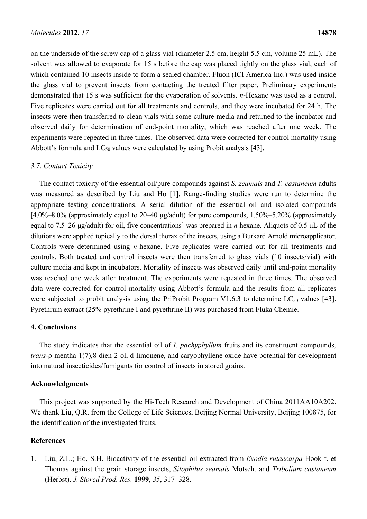on the underside of the screw cap of a glass vial (diameter 2.5 cm, height 5.5 cm, volume 25 mL). The solvent was allowed to evaporate for 15 s before the cap was placed tightly on the glass vial, each of which contained 10 insects inside to form a sealed chamber. Fluon (ICI America Inc.) was used inside the glass vial to prevent insects from contacting the treated filter paper. Preliminary experiments demonstrated that 15 s was sufficient for the evaporation of solvents. *n*-Hexane was used as a control. Five replicates were carried out for all treatments and controls, and they were incubated for 24 h. The insects were then transferred to clean vials with some culture media and returned to the incubator and observed daily for determination of end-point mortality, which was reached after one week. The experiments were repeated in three times. The observed data were corrected for control mortality using Abbott's formula and  $LC_{50}$  values were calculated by using Probit analysis [43].

#### *3.7. Contact Toxicity*

The contact toxicity of the essential oil/pure compounds against *S. zeamais* and *T. castaneum* adults was measured as described by Liu and Ho [1]. Range-finding studies were run to determine the appropriate testing concentrations. A serial dilution of the essential oil and isolated compounds [4.0%–8.0% (approximately equal to 20–40 μg/adult) for pure compounds, 1.50%–5.20% (approximately equal to 7.5–26 μg/adult) for oil, five concentrations] was prepared in *n*-hexane. Aliquots of 0.5 μL of the dilutions were applied topically to the dorsal thorax of the insects, using a Burkard Arnold microapplicator. Controls were determined using *n*-hexane. Five replicates were carried out for all treatments and controls. Both treated and control insects were then transferred to glass vials (10 insects/vial) with culture media and kept in incubators. Mortality of insects was observed daily until end-point mortality was reached one week after treatment. The experiments were repeated in three times. The observed data were corrected for control mortality using Abbott's formula and the results from all replicates were subjected to probit analysis using the PriProbit Program V1.6.3 to determine  $LC_{50}$  values [43]. Pyrethrum extract (25% pyrethrine I and pyrethrine II) was purchased from Fluka Chemie.

## **4. Conclusions**

The study indicates that the essential oil of *I. pachyphyllum* fruits and its constituent compounds, *trans-*ρ-mentha-1(7),8-dien-2-ol, d-limonene, and caryophyllene oxide have potential for development into natural insecticides/fumigants for control of insects in stored grains.

#### **Acknowledgments**

This project was supported by the Hi-Tech Research and Development of China 2011AA10A202. We thank Liu, Q.R. from the College of Life Sciences, Beijing Normal University, Beijing 100875, for the identification of the investigated fruits.

#### **References**

1. Liu, Z.L.; Ho, S.H. Bioactivity of the essential oil extracted from *Evodia rutaecarpa* Hook f. et Thomas against the grain storage insects, *Sitophilus zeamais* Motsch. and *Tribolium castaneum* (Herbst). *J. Stored Prod. Res.* **1999**, *35*, 317–328.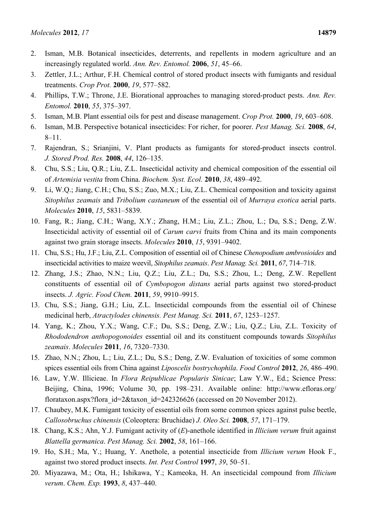- 2. Isman, M.B. Botanical insecticides, deterrents, and repellents in modern agriculture and an increasingly regulated world. *Ann. Rev. Entomol.* **2006**, *51*, 45–66.
- 3. Zettler, J.L.; Arthur, F.H. Chemical control of stored product insects with fumigants and residual treatments. *Crop Prot.* **2000**, *19*, 577–582.
- 4. Phillips, T.W.; Throne, J.E. Biorational approaches to managing stored-product pests. *Ann. Rev. Entomol.* **2010**, *55*, 375–397.
- 5. Isman, M.B. Plant essential oils for pest and disease management. *Crop Prot.* **2000**, *19*, 603–608.
- 6. Isman, M.B. Perspective botanical insecticides: For richer, for poorer. *Pest Manag. Sci.* **2008**, *64*, 8–11.
- 7. Rajendran, S.; Srianjini, V. Plant products as fumigants for stored-product insects control. *J. Stored Prod. Res.* **2008**, *44*, 126–135.
- 8. Chu, S.S.; Liu, Q.R.; Liu, Z.L. Insecticidal activity and chemical composition of the essential oil of *Artemisia vestita* from China. *Biochem. Syst. Ecol.* **2010**, *38*, 489–492.
- 9. Li, W.Q.; Jiang, C.H.; Chu, S.S.; Zuo, M.X.; Liu, Z.L. Chemical composition and toxicity against *Sitophilus zeamais* and *Tribolium castaneum* of the essential oil of *Murraya exotica* aerial parts. *Molecules* **2010**, *15*, 5831–5839.
- 10. Fang, R.; Jiang, C.H.; Wang, X.Y.; Zhang, H.M.; Liu, Z.L.; Zhou, L.; Du, S.S.; Deng, Z.W. Insecticidal activity of essential oil of *Carum carvi* fruits from China and its main components against two grain storage insects. *Molecules* **2010**, *15*, 9391–9402.
- 11. Chu, S.S.; Hu, J.F.; Liu, Z.L. Composition of essential oil of Chinese *Chenopodium ambrosioides* and insecticidal activities to maize weevil, *Sitophilus zeamais*. *Pest Manag. Sci.* **2011**, *67*, 714–718.
- 12. Zhang, J.S.; Zhao, N.N.; Liu, Q.Z.; Liu, Z.L.; Du, S.S.; Zhou, L.; Deng, Z.W. Repellent constituents of essential oil of *Cymbopogon distans* aerial parts against two stored-product insects. *J. Agric. Food Chem.* **2011**, *59*, 9910–9915.
- 13. Chu, S.S.; Jiang, G.H.; Liu, Z.L. Insecticidal compounds from the essential oil of Chinese medicinal herb, *Atractylodes chinensis. Pest Manag. Sci.* **2011**, *67*, 1253–1257.
- 14. Yang, K.; Zhou, Y.X.; Wang, C.F.; Du, S.S.; Deng, Z.W.; Liu, Q.Z.; Liu, Z.L. Toxicity of *Rhododendron anthopogonoides* essential oil and its constituent compounds towards *Sitophilus zeamais*. *Molecules* **2011**, *16*, 7320–7330.
- 15. Zhao, N.N.; Zhou, L.; Liu, Z.L.; Du, S.S.; Deng, Z.W. Evaluation of toxicities of some common spices essential oils from China against *Liposcelis bostrychophila*. *Food Control* **2012**, *26*, 486–490.
- 16. Law, Y.W. Illicieae. In *Flora Reipublicae Popularis Sinicae*; Law Y.W., Ed.; Science Press: Beijing, China, 1996; Volume 30, pp. 198–231. Available online: http://www.efloras.org/ florataxon.aspx?flora\_id=2&taxon\_id=242326626 (accessed on 20 November 2012).
- 17. Chaubey, M.K. Fumigant toxicity of essential oils from some common spices against pulse beetle, *Callosobruchus chinensis* (Coleoptera: Bruchidae) *J. Oleo Sci.* **2008**, *57*, 171–179.
- 18. Chang, K.S.; Ahn, Y.J. Fumigant activity of (*E*)-anethole identified in *Illicium verum* fruit against *Blattella germanica*. *Pest Manag. Sci.* **2002**, *58*, 161–166.
- 19. Ho, S.H.; Ma, Y.; Huang, Y. Anethole, a potential insecticide from *Illicium verum* Hook F., against two stored product insects. *Int. Pest Control* **1997**, *39*, 50–51.
- 20. Miyazawa, M.; Ota, H.; Ishikawa, Y.; Kameoka, H. An insecticidal compound from *Illicium verum*. *Chem. Exp.* **1993**, *8*, 437–440.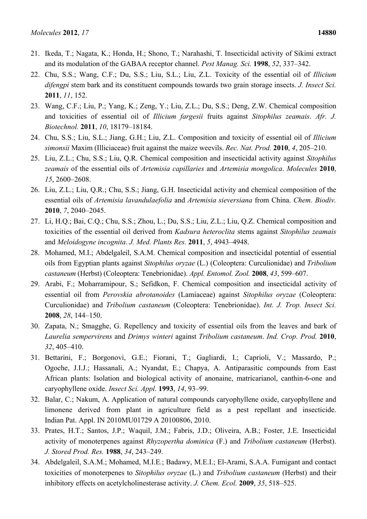- 21. Ikeda, T.; Nagata, K.; Honda, H.; Shono, T.; Narahashi, T. Insecticidal activity of Sikimi extract and its modulation of the GABAA receptor channel. *Pest Manag. Sci.* **1998**, *52*, 337–342.
- 22. Chu, S.S.; Wang, C.F.; Du, S.S.; Liu, S.L.; Liu, Z.L. Toxicity of the essential oil of *Illicium difengpi* stem bark and its constituent compounds towards two grain storage insects. *J. Insect Sci.* **2011**, *11*, 152.
- 23. Wang, C.F.; Liu, P.; Yang, K.; Zeng, Y.; Liu, Z.L.; Du, S.S.; Deng, Z.W. Chemical composition and toxicities of essential oil of *Illicium fargesii* fruits against *Sitophilus zeamais*. *Afr. J. Biotechnol.* **2011**, *10*, 18179–18184.
- 24. Chu, S.S.; Liu, S.L.; Jiang, G.H.; Liu, Z.L. Composition and toxicity of essential oil of *Illicium simonsii* Maxim (Illiciaceae) fruit against the maize weevils. *Rec. Nat. Prod.* **2010**, *4*, 205–210.
- 25. Liu, Z.L.; Chu, S.S.; Liu, Q.R. Chemical composition and insecticidal activity against *Sitophilus zeamais* of the essential oils of *Artemisia capillaries* and *Artemisia mongolica*. *Molecules* **2010**, *15*, 2600–2608.
- 26. Liu, Z.L.; Liu, Q.R.; Chu, S.S.; Jiang, G.H. Insecticidal activity and chemical composition of the essential oils of *Artemisia lavandulaefolia* and *Artemisia sieversiana* from China. *Chem. Biodiv.* **2010**, *7*, 2040–2045.
- 27. Li, H.Q.; Bai, C.Q.; Chu, S.S.; Zhou, L.; Du, S.S.; Liu, Z.L.; Liu, Q.Z. Chemical composition and toxicities of the essential oil derived from *Kadsura heteroclita* stems against *Sitophilus zeamais* and *Meloidogyne incognita*. *J. Med. Plants Res.* **2011**, *5*, 4943–4948.
- 28. Mohamed, M.I.; Abdelgaleil, S.A.M. Chemical composition and insecticidal potential of essential oils from Egyptian plants against *Sitophilus oryzae* (L.) (Coleoptera: Curculionidae) and *Tribolium castaneum* (Herbst) (Coleoptera: Tenebrionidae). *Appl. Entomol. Zool.* **2008**, *43*, 599–607.
- 29. Arabi, F.; Moharramipour, S.; Sefidkon, F. Chemical composition and insecticidal activity of essential oil from *Perovskia abrotanoides* (Lamiaceae) against *Sitophilus oryzae* (Coleoptera: Curculionidae) and *Tribolium castaneum* (Coleoptera: Tenebrionidae). *Int. J. Trop. Insect Sci.* **2008**, *28*, 144–150.
- 30. Zapata, N.; Smagghe, G. Repellency and toxicity of essential oils from the leaves and bark of *Laurelia sempervirens* and *Drimys winteri* against *Tribolium castaneum*. *Ind. Crop. Prod.* **2010**, *32*, 405–410.
- 31. Bettarini, F.; Borgonovi, G.E.; Fiorani, T.; Gagliardi, I.; Caprioli, V.; Massardo, P.; Ogoche, J.I.J.; Hassanali, A.; Nyandat, E.; Chapya, A. Antiparasitic compounds from East African plants: Isolation and biological activity of anonaine, matricarianol, canthin-6-one and caryophyllene oxide. *Insect Sci. Appl.* **1993**, *14*, 93–99.
- 32. Balar, C.; Nakum, A. Application of natural compounds caryophyllene oxide, caryophyllene and limonene derived from plant in agriculture field as a pest repellant and insecticide. Indian Pat. Appl. IN 2010MU01729 A 20100806, 2010.
- 33. Prates, H.T.; Santos, J.P.; Waquil, J.M.; Fabris, J.D.; Oliveira, A.B.; Foster, J.E. Insecticidal activity of monoterpenes against *Rhyzopertha dominica* (F.) and *Tribolium castaneum* (Herbst). *J. Stored Prod. Res.* **1988**, *34*, 243–249.
- 34. Abdelgaleil, S.A.M.; Mohamed, M.I.E*.*; Badawy, M.E.I.; El-Arami, S.A.A. Fumigant and contact toxicities of monoterpenes to *Sitophilus oryzae* (L.) and *Tribolium castaneum* (Herbst) and their inhibitory effects on acetylcholinesterase activity. *J. Chem. Ecol.* **2009**, *35*, 518–525.